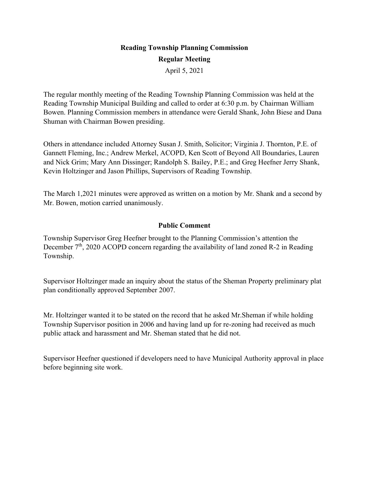# **Reading Township Planning Commission Regular Meeting**

April 5, 2021

The regular monthly meeting of the Reading Township Planning Commission was held at the Reading Township Municipal Building and called to order at 6:30 p.m. by Chairman William Bowen. Planning Commission members in attendance were Gerald Shank, John Biese and Dana Shuman with Chairman Bowen presiding.

Others in attendance included Attorney Susan J. Smith, Solicitor; Virginia J. Thornton, P.E. of Gannett Fleming, Inc.; Andrew Merkel, ACOPD, Ken Scott of Beyond All Boundaries, Lauren and Nick Grim; Mary Ann Dissinger; Randolph S. Bailey, P.E.; and Greg Heefner Jerry Shank, Kevin Holtzinger and Jason Phillips, Supervisors of Reading Township.

The March 1,2021 minutes were approved as written on a motion by Mr. Shank and a second by Mr. Bowen, motion carried unanimously.

### **Public Comment**

Township Supervisor Greg Heefner brought to the Planning Commission's attention the December  $7<sup>th</sup>$ , 2020 ACOPD concern regarding the availability of land zoned R-2 in Reading Township.

Supervisor Holtzinger made an inquiry about the status of the Sheman Property preliminary plat plan conditionally approved September 2007.

Mr. Holtzinger wanted it to be stated on the record that he asked Mr.Sheman if while holding Township Supervisor position in 2006 and having land up for re-zoning had received as much public attack and harassment and Mr. Sheman stated that he did not.

Supervisor Heefner questioned if developers need to have Municipal Authority approval in place before beginning site work.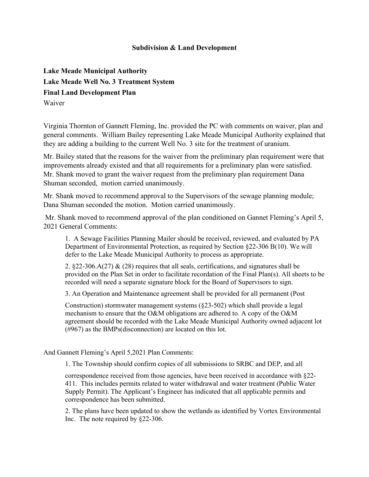#### **Subdivision & Land Development**

**Lake Meade Municipal Authority Lake Meade Well No. 3 Treatment System Final Land Development Plan** Waiver

Virginia Thornton of Gannett Fleming, Inc. provided the PC with comments on waiver, plan and general comments. William Bailey representing Lake Meade Municipal Authority explained that they are adding a building to the current Well No. 3 site for the treatment of uranium.

Mr. Bailey stated that the reasons for the waiver from the preliminary plan requirement were that improvements already existed and that all requirements for a preliminary plan were satisfied. Mr. Shank moved to grant the waiver request from the preliminary plan requirement Dana Shuman seconded, motion carried unanimously.

Mr. Shank moved to recommend approval to the Supervisors of the sewage planning module; Dana Shuman seconded the motion. Motion carried unanimously.

Mr. Shank moved to recommend approval of the plan conditioned on Gannet Fleming's April 5, 2021 General Comments:

1. A Sewage Facilities Planning Mailer should be received, reviewed, and evaluated by PA Department of Environmental Protection, as required by Section §22-306 B(10). We will defer to the Lake Meade Municipal Authority to process as appropriate.

2.  $822-306.\dot{A}(27) \& (28)$  requires that all seals, certifications, and signatures shall be provided on the Plan Set in order to facilitate recordation of the Final Plan(s). All sheets to be recorded will need a separate signature block for the Board of Supervisors to sign.

3. An Operation and Maintenance agreement shall be provided for all permanent (Post

Construction) stormwater management systems (§23-502) which shall provide a legal mechanism to ensure that the O&M obligations are adhered to. A copy of the O&M agreement should be recorded with the Lake Meade Municipal Authority owned adjacent lot (#967) as the BMPs(disconnection) are located on this lot.

And Gannett Fleming's April 5,2021 Plan Comments:

1. The Township should confirm copies of all submissions to SRBC and DEP, and all

correspondence received from those agencies, have been received in accordance with §22- 411. This includes permits related to water withdrawal and water treatment (Public Water Supply Permit). The Applicant's Engineer has indicated that all applicable permits and correspondence has been submitted.

2. The plans have been updated to show the wetlands as identified by Vortex Environmental Inc. The note required by §22-306.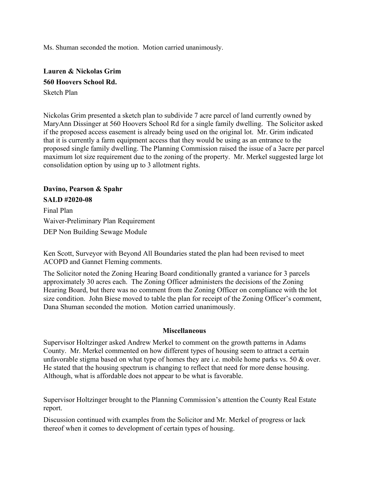Ms. Shuman seconded the motion. Motion carried unanimously.

**Lauren & Nickolas Grim 560 Hoovers School Rd.** Sketch Plan

Nickolas Grim presented a sketch plan to subdivide 7 acre parcel of land currently owned by MaryAnn Dissinger at 560 Hoovers School Rd for a single family dwelling. The Solicitor asked if the proposed access easement is already being used on the original lot. Mr. Grim indicated that it is currently a farm equipment access that they would be using as an entrance to the proposed single family dwelling. The Planning Commission raised the issue of a 3acre per parcel maximum lot size requirement due to the zoning of the property. Mr. Merkel suggested large lot consolidation option by using up to 3 allotment rights.

**Davino, Pearson & Spahr SALD #2020-08**

Final Plan Waiver-Preliminary Plan Requirement DEP Non Building Sewage Module

Ken Scott, Surveyor with Beyond All Boundaries stated the plan had been revised to meet ACOPD and Gannet Fleming comments.

The Solicitor noted the Zoning Hearing Board conditionally granted a variance for 3 parcels approximately 30 acres each. The Zoning Officer administers the decisions of the Zoning Hearing Board, but there was no comment from the Zoning Officer on compliance with the lot size condition. John Biese moved to table the plan for receipt of the Zoning Officer's comment, Dana Shuman seconded the motion. Motion carried unanimously.

#### **Miscellaneous**

Supervisor Holtzinger asked Andrew Merkel to comment on the growth patterns in Adams County. Mr. Merkel commented on how different types of housing seem to attract a certain unfavorable stigma based on what type of homes they are i.e. mobile home parks vs. 50 & over. He stated that the housing spectrum is changing to reflect that need for more dense housing. Although, what is affordable does not appear to be what is favorable.

Supervisor Holtzinger brought to the Planning Commission's attention the County Real Estate report.

Discussion continued with examples from the Solicitor and Mr. Merkel of progress or lack thereof when it comes to development of certain types of housing.